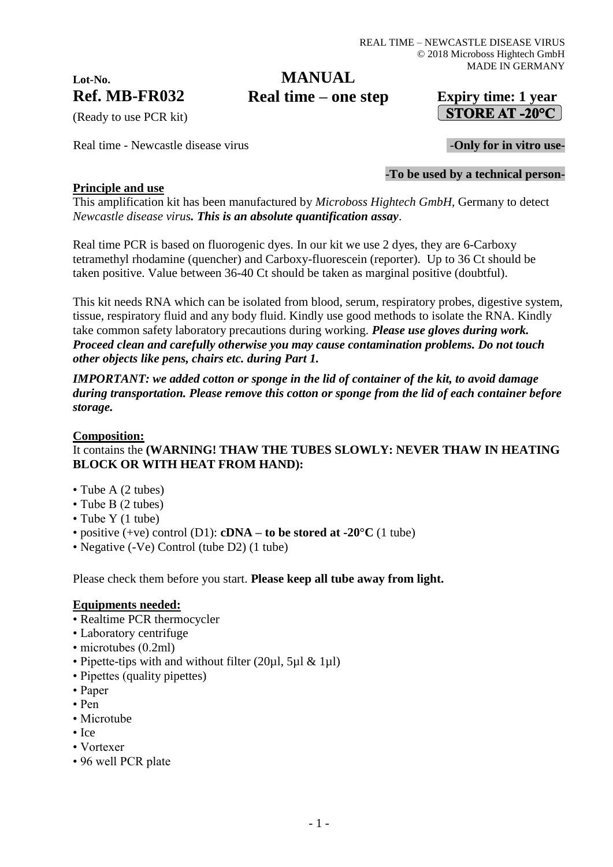# **Lot-No.**

### **Ref. MB-FR032 Expiry time: 1 year Real time – one stepMANUAL**

## STORE AT -20 $^{\circ}$ C

(Ready to use PCR kit)

Real time - Newcastle disease virus **Figure 2.1 Conserverse in the USE** - Only for in vitro use-

#### **-To be used by a technical person-**

#### **Principle and use**

This amplification kit has been manufactured by *Microboss Hightech GmbH*, Germany to detect *Newcastle disease virus. This is an absolute quantification assay*.

Real time PCR is based on fluorogenic dyes. In our kit we use 2 dyes, they are 6-Carboxy tetramethyl rhodamine (quencher) and Carboxy-fluorescein (reporter). Up to 36 Ct should be taken positive. Value between 36-40 Ct should be taken as marginal positive (doubtful).

This kit needs RNA which can be isolated from blood, serum, respiratory probes, digestive system, tissue, respiratory fluid and any body fluid. Kindly use good methods to isolate the RNA. Kindly take common safety laboratory precautions during working. *Please use gloves during work. Proceed clean and carefully otherwise you may cause contamination problems. Do not touch other objects like pens, chairs etc. during Part 1.*

*IMPORTANT: we added cotton or sponge in the lid of container of the kit, to avoid damage during transportation. Please remove this cotton or sponge from the lid of each container before storage.*

#### **Composition:**

#### It contains the **(WARNING! THAW THE TUBES SLOWLY: NEVER THAW IN HEATING BLOCK OR WITH HEAT FROM HAND):**

- Tube A (2 tubes)
- Tube B (2 tubes)
- Tube Y (1 tube)
- positive (+ve) control (D1): **cDNA – to be stored at -20°C** (1 tube)
- Negative (-Ve) Control (tube D2) (1 tube)

Please check them before you start. **Please keep all tube away from light.**

#### **Equipments needed:**

- Realtime PCR thermocycler
- Laboratory centrifuge
- microtubes (0.2ml)
- Pipette-tips with and without filter (20ul, 5ul & 1ul)
- Pipettes (quality pipettes)
- Paper
- Pen
- Microtube
- Ice
- Vortexer
- 96 well PCR plate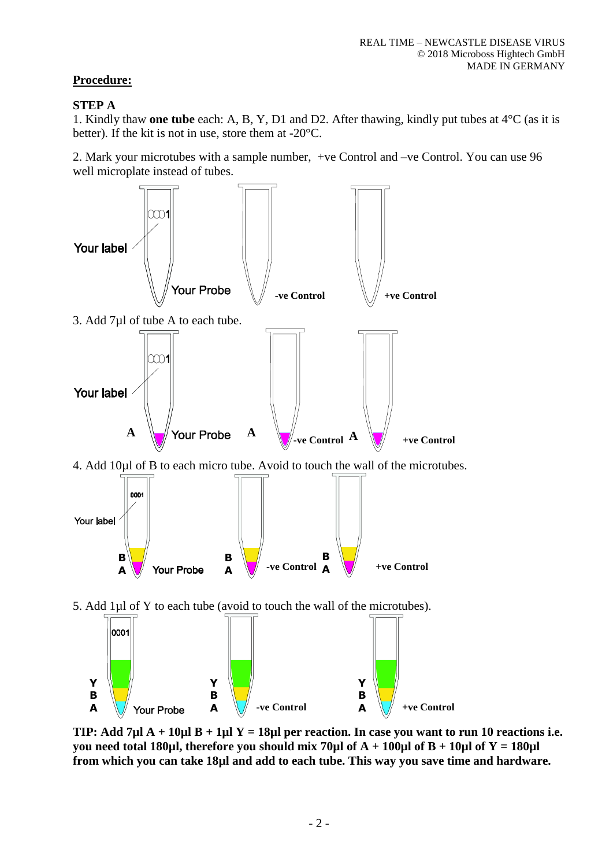#### **Procedure:**

#### **STEP A**

1. Kindly thaw **one tube** each: A, B, Y, D1 and D2. After thawing, kindly put tubes at 4°C (as it is better). If the kit is not in use, store them at -20°C.

2. Mark your microtubes with a sample number, +ve Control and –ve Control. You can use 96 well microplate instead of tubes.



**TIP: Add 7µl A + 10µl B + 1µl Y = 18µl per reaction. In case you want to run 10 reactions i.e. you need total 180µl, therefore you should mix 70µl of A + 100µl of B + 10µl of Y = 180µl from which you can take 18µl and add to each tube. This way you save time and hardware.**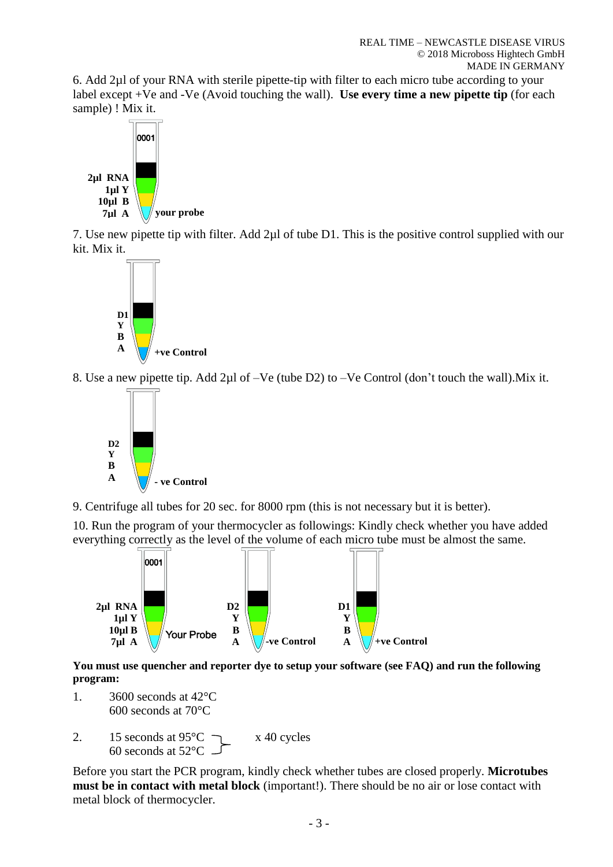6. Add 2µl of your RNA with sterile pipette-tip with filter to each micro tube according to your label except +Ve and -Ve (Avoid touching the wall). **Use every time a new pipette tip** (for each sample) ! Mix it.



7. Use new pipette tip with filter. Add 2µl of tube D1. This is the positive control supplied with our kit. Mix it.



8. Use a new pipette tip. Add 2µl of –Ve (tube D2) to –Ve Control (don't touch the wall).Mix it.



9. Centrifuge all tubes for 20 sec. for 8000 rpm (this is not necessary but it is better).

10. Run the program of your thermocycler as followings: Kindly check whether you have added everything correctly as the level of the volume of each micro tube must be almost the same.



**You must use quencher and reporter dye to setup your software (see FAQ) and run the following program:**

- 1. 3600 seconds at 42°C 600 seconds at 70°C
- 2. 15 seconds at  $95^{\circ}$ C  $\rightarrow x$  40 cycles 60 seconds at 52°C

Before you start the PCR program, kindly check whether tubes are closed properly. **Microtubes must be in contact with metal block** (important!). There should be no air or lose contact with metal block of thermocycler.